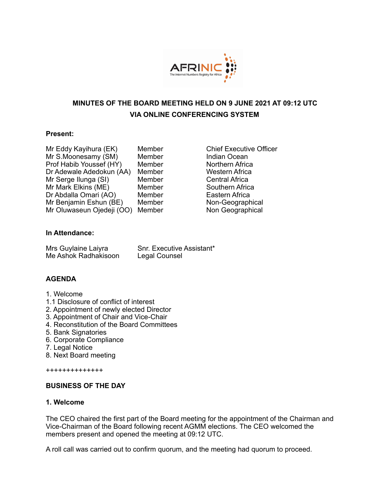

# **MINUTES OF THE BOARD MEETING HELD ON 9 JUNE 2021 AT 09:12 UTC VIA ONLINE CONFERENCING SYSTEM**

#### **Present:**

| Mr Eddy Kayihura (EK)     | Membe |
|---------------------------|-------|
| Mr S.Moonesamy (SM)       | Membe |
| Prof Habib Youssef (HY)   | Membe |
| Dr Adewale Adedokun (AA)  | Membe |
| Mr Serge Ilunga (SI)      | Membe |
| Mr Mark Elkins (ME)       | Membe |
| Dr Abdalla Omari (AO)     | Membe |
| Mr Benjamin Eshun (BE)    | Membe |
| Mr Oluwaseun Ojedeji (OO) | Membe |

er **Chief Executive Officer** er Samuel Indian Ocean Prof **Habib Northern Africa** er **Calle Adedokun (Adedokun Africa** er **Central Africa** er Mark Southern Africa er **Eastern Africa** er **Non-Geographical** er **Non Geographical** 

### **In Attendance:**

| Mrs Guylaine Laiyra  | Snr. Executive Assistant* |
|----------------------|---------------------------|
| Me Ashok Radhakisoon | Legal Counsel             |

### **AGENDA**

- 1. Welcome
- 1.1 Disclosure of conflict of interest
- 2. Appointment of newly elected Director
- 3. Appointment of Chair and Vice-Chair
- 4. Reconstitution of the Board Committees
- 5. Bank Signatories
- 6. Corporate Compliance
- 7. Legal Notice
- 8. Next Board meeting

++++++++++++++

#### **BUSINESS OF THE DAY**

#### **1. Welcome**

The CEO chaired the first part of the Board meeting for the appointment of the Chairman and Vice-Chairman of the Board following recent AGMM elections. The CEO welcomed the members present and opened the meeting at 09:12 UTC.

A roll call was carried out to confirm quorum, and the meeting had quorum to proceed.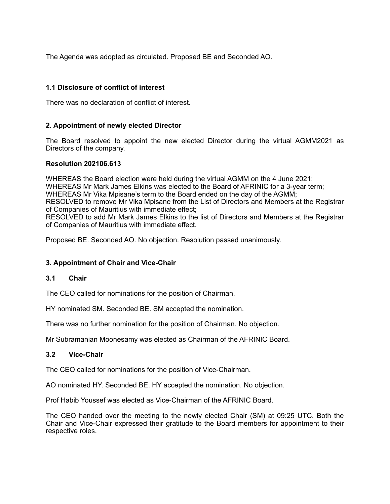The Agenda was adopted as circulated. Proposed BE and Seconded AO.

### **1.1 Disclosure of conflict of interest**

There was no declaration of conflict of interest.

### **2. Appointment of newly elected Director**

The Board resolved to appoint the new elected Director during the virtual AGMM2021 as Directors of the company.

#### **Resolution 202106.613**

WHEREAS the Board election were held during the virtual AGMM on the 4 June 2021; WHEREAS Mr Mark James Elkins was elected to the Board of AFRINIC for a 3-year term: WHEREAS Mr Vika Mpisane's term to the Board ended on the day of the AGMM; RESOLVED to remove Mr Vika Mpisane from the List of Directors and Members at the Registrar of Companies of Mauritius with immediate effect; RESOLVED to add Mr Mark James Elkins to the list of Directors and Members at the Registrar of Companies of Mauritius with immediate effect.

Proposed BE. Seconded AO. No objection. Resolution passed unanimously.

### **3. Appointment of Chair and Vice-Chair**

#### **3.1 Chair**

The CEO called for nominations for the position of Chairman.

HY nominated SM. Seconded BE. SM accepted the nomination.

There was no further nomination for the position of Chairman. No objection.

Mr Subramanian Moonesamy was elected as Chairman of the AFRINIC Board.

#### **3.2 Vice-Chair**

The CEO called for nominations for the position of Vice-Chairman.

AO nominated HY. Seconded BE. HY accepted the nomination. No objection.

Prof Habib Youssef was elected as Vice-Chairman of the AFRINIC Board.

The CEO handed over the meeting to the newly elected Chair (SM) at 09:25 UTC. Both the Chair and Vice-Chair expressed their gratitude to the Board members for appointment to their respective roles.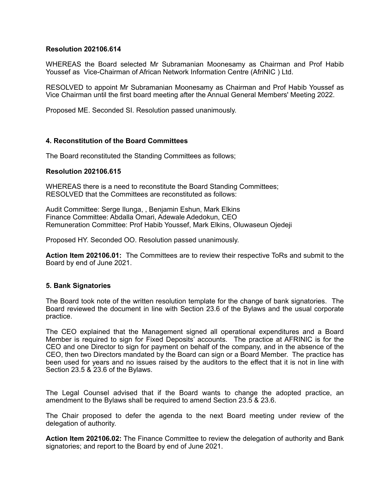#### **Resolution 202106.614**

WHEREAS the Board selected Mr Subramanian Moonesamy as Chairman and Prof Habib Youssef as Vice-Chairman of African Network Information Centre (AfriNIC ) Ltd.

RESOLVED to appoint Mr Subramanian Moonesamy as Chairman and Prof Habib Youssef as Vice Chairman until the first board meeting after the Annual General Members' Meeting 2022.

Proposed ME. Seconded SI. Resolution passed unanimously.

#### **4. Reconstitution of the Board Committees**

The Board reconstituted the Standing Committees as follows;

#### **Resolution 202106.615**

WHEREAS there is a need to reconstitute the Board Standing Committees; RESOLVED that the Committees are reconstituted as follows:

Audit Committee: Serge Ilunga, , Benjamin Eshun, Mark Elkins Finance Committee: Abdalla Omari, Adewale Adedokun, CEO Remuneration Committee: Prof Habib Youssef, Mark Elkins, Oluwaseun Ojedeji

Proposed HY. Seconded OO. Resolution passed unanimously.

**Action Item 202106.01:** The Committees are to review their respective ToRs and submit to the Board by end of June 2021.

#### **5. Bank Signatories**

The Board took note of the written resolution template for the change of bank signatories. The Board reviewed the document in line with Section 23.6 of the Bylaws and the usual corporate practice.

The CEO explained that the Management signed all operational expenditures and a Board Member is required to sign for Fixed Deposits' accounts. The practice at AFRINIC is for the CEO and one Director to sign for payment on behalf of the company, and in the absence of the CEO, then two Directors mandated by the Board can sign or a Board Member. The practice has been used for years and no issues raised by the auditors to the effect that it is not in line with Section 23.5 & 23.6 of the Bylaws.

The Legal Counsel advised that if the Board wants to change the adopted practice, an amendment to the Bylaws shall be required to amend Section 23.5 & 23.6.

The Chair proposed to defer the agenda to the next Board meeting under review of the delegation of authority.

**Action Item 202106.02:** The Finance Committee to review the delegation of authority and Bank signatories; and report to the Board by end of June 2021.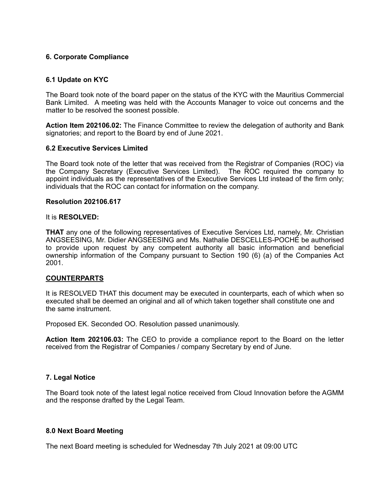#### **6. Corporate Compliance**

#### **6.1 Update on KYC**

The Board took note of the board paper on the status of the KYC with the Mauritius Commercial Bank Limited. A meeting was held with the Accounts Manager to voice out concerns and the matter to be resolved the soonest possible.

**Action Item 202106.02:** The Finance Committee to review the delegation of authority and Bank signatories; and report to the Board by end of June 2021.

#### **6.2 Executive Services Limited**

The Board took note of the letter that was received from the Registrar of Companies (ROC) via the Company Secretary (Executive Services Limited). The ROC required the company to appoint individuals as the representatives of the Executive Services Ltd instead of the firm only; individuals that the ROC can contact for information on the company.

#### **Resolution 202106.617**

#### It is **RESOLVED:**

**THAT** any one of the following representatives of Executive Services Ltd, namely, Mr. Christian ANGSEESING, Mr. Didier ANGSEESING and Ms. Nathalie DESCELLES-POCHÉ be authorised to provide upon request by any competent authority all basic information and beneficial ownership information of the Company pursuant to Section 190 (6) (a) of the Companies Act 2001.

#### **COUNTERPARTS**

It is RESOLVED THAT this document may be executed in counterparts, each of which when so executed shall be deemed an original and all of which taken together shall constitute one and the same instrument.

Proposed EK. Seconded OO. Resolution passed unanimously.

**Action Item 202106.03:** The CEO to provide a compliance report to the Board on the letter received from the Registrar of Companies / company Secretary by end of June.

#### **7. Legal Notice**

The Board took note of the latest legal notice received from Cloud Innovation before the AGMM and the response drafted by the Legal Team.

#### **8.0 Next Board Meeting**

The next Board meeting is scheduled for Wednesday 7th July 2021 at 09:00 UTC